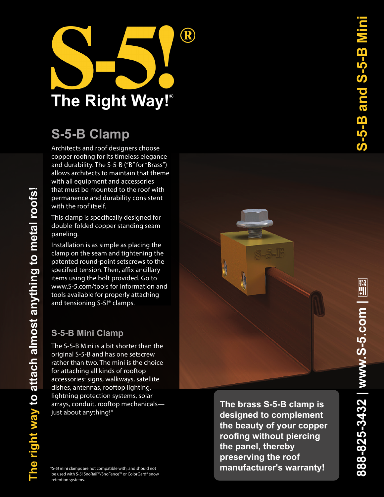

## **S-5-B Clamp**

Architects and roof designers choose copper roofing for its timeless elegance and durability. The S-5-B ("B" for "Brass") allows architects to maintain that theme with all equipment and accessories that must be mounted to the roof with permanence and durability consistent with the roof itself.

This clamp is specifically designed for double-folded copper standing seam paneling.

Installation is as simple as placing the clamp on the seam and tightening the patented round-point setscrews to the specified tension. Then, affix ancillary items using the bolt provided. Go to www.S-5.com/tools for information and tools available for properly attaching and tensioning S-5!® clamps.

## **S-5-B Mini Clamp**

**The right way to attach almost anything to metal roofs!** 

The right way to attach almost anything to metal roofs!

The S-5-B Mini is a bit shorter than the original S-5-B and has one setscrew rather than two. The mini is the choice for attaching all kinds of rooftop accessories: signs, walkways, satellite dishes, antennas, rooftop lighting, lightning protection systems, solar arrays, conduit, rooftop mechanicals just about anything!\*

\*S-5! mini clamps are not compatible with, and should not be used with S-5! SnoRail™/SnoFence™ or ColorGard® snow retention systems.

**The brass S-5-B clamp is designed to complement the beauty of your copper roofing without piercing the panel, thereby preserving the roof manufacturer's warranty!**

**888-825-3432 | www.S-5.com |** 

888-825-3432 | www.S-5.com